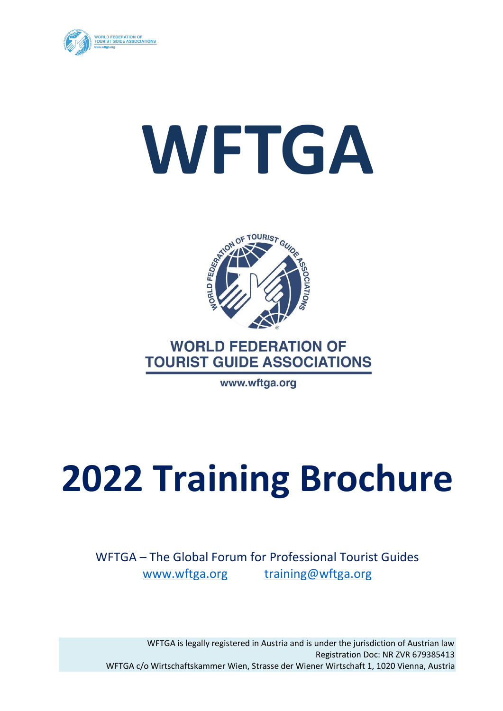

# **WFTGA**



# **WORLD FEDERATION OF TOURIST GUIDE ASSOCIATIONS**

www.wftga.org

# **2022 Training Brochure**

WFTGA – The Global Forum for Professional Tourist Guides [www.wftga.org](http://www.wftga.org/) [training@wftga.org](mailto:training@wftga.org)

WFTGA is legally registered in Austria and is under the jurisdiction of Austrian law Registration Doc: NR ZVR 679385413 WFTGA c/o Wirtschaftskammer Wien, Strasse der Wiener Wirtschaft 1, 1020 Vienna, Austria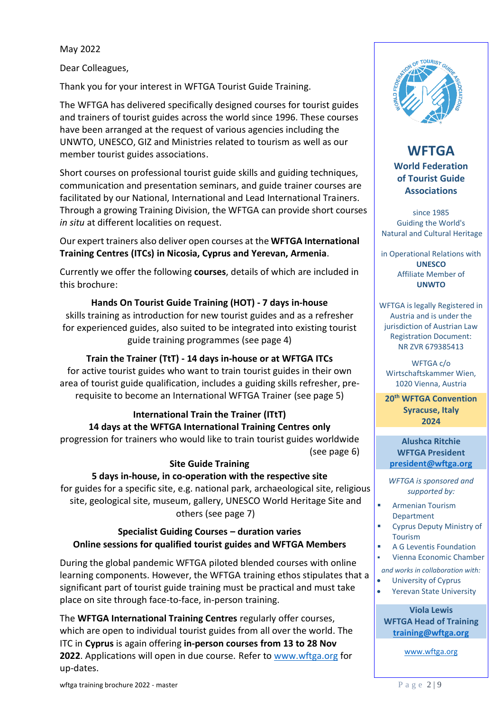May 2022

Dear Colleagues,

Thank you for your interest in WFTGA Tourist Guide Training.

The WFTGA has delivered specifically designed courses for tourist guides and trainers of tourist guides across the world since 1996. These courses have been arranged at the request of various agencies including the UNWTO, UNESCO, GIZ and Ministries related to tourism as well as our member tourist guides associations.

Short courses on professional tourist guide skills and guiding techniques, communication and presentation seminars, and guide trainer courses are facilitated by our National, International and Lead International Trainers. Through a growing Training Division, the WFTGA can provide short courses *in situ* at different localities on request.

Our expert trainers also deliver open courses at the **WFTGA International Training Centres (ITCs) in Nicosia, Cyprus and Yerevan, Armenia**.

Currently we offer the following **courses**, details of which are included in this brochure:

# **Hands On Tourist Guide Training (HOT) - 7 days in-house**

skills training as introduction for new tourist guides and as a refresher for experienced guides, also suited to be integrated into existing tourist guide training programmes (see page 4)

# **Train the Trainer (TtT) - 14 days in-house or at WFTGA ITCs**

for active tourist guides who want to train tourist guides in their own area of tourist guide qualification, includes a guiding skills refresher, prerequisite to become an International WFTGA Trainer (see page 5)

**International Train the Trainer (ITtT) 14 days at the WFTGA International Training Centres only** progression for trainers who would like to train tourist guides worldwide (see page 6)

# **Site Guide Training**

# **5 days in-house, in co-operation with the respective site**

for guides for a specific site, e.g. national park, archaeological site, religious site, geological site, museum, gallery, UNESCO World Heritage Site and others (see page 7)

# **Specialist Guiding Courses – duration varies Online sessions for qualified tourist guides and WFTGA Members**

During the global pandemic WFTGA piloted blended courses with online learning components. However, the WFTGA training ethos stipulates that a significant part of tourist guide training must be practical and must take place on site through face-to-face, in-person training.

The **WFTGA International Training Centres** regularly offer courses, which are open to individual tourist guides from all over the world. The ITC in **Cyprus** is again offering **in-person courses from 13 to 28 Nov 2022**. Applications will open in due course. Refer to [www.wftga.org](http://www.wftga.org/) for up-dates.



**WFTGA World Federation of Tourist Guide Associations**

since 1985 Guiding the World's Natural and Cultural Heritage

in Operational Relations with **UNESCO** Affiliate Member of **UNWTO**

WFTGA is legally Registered in Austria and is under the jurisdiction of Austrian Law Registration Document: NR ZVR 679385413

WFTGA c/o Wirtschaftskammer Wien, 1020 Vienna, Austria

**20th WFTGA Convention Syracuse, Italy 2024**

**Alushca Ritchie WFTGA President [president@wftga.org](mailto:president@wftga.org)**

*WFTGA is sponsored and supported by:*

- **■** Armenian Tourism Department
	- Cyprus Deputy Ministry of Tourism
- A G Leventis Foundation
- Vienna Economic Chamber *and works in collaboration with:*
- University of Cyprus
- Yerevan State University

**Viola Lewis WFTGA Head of Training [training@wftga.org](mailto:training@wftga.org)**

[www.wftga.org](http://www.wftga.org/)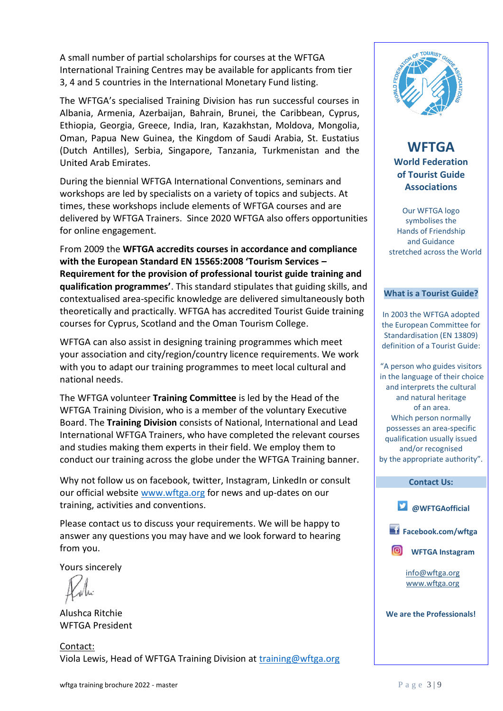A small number of partial scholarships for courses at the WFTGA International Training Centres may be available for applicants from tier 3, 4 and 5 countries in the International Monetary Fund listing.

The WFTGA's specialised Training Division has run successful courses in Albania, Armenia, Azerbaijan, Bahrain, Brunei, the Caribbean, Cyprus, Ethiopia, Georgia, Greece, India, Iran, Kazakhstan, Moldova, Mongolia, Oman, Papua New Guinea, the Kingdom of Saudi Arabia, St. Eustatius (Dutch Antilles), Serbia, Singapore, Tanzania, Turkmenistan and the United Arab Emirates.

During the biennial WFTGA International Conventions, seminars and workshops are led by specialists on a variety of topics and subjects. At times, these workshops include elements of WFTGA courses and are delivered by WFTGA Trainers. Since 2020 WFTGA also offers opportunities for online engagement.

From 2009 the **WFTGA accredits courses in accordance and compliance with the European Standard EN 15565:2008 'Tourism Services – Requirement for the provision of professional tourist guide training and qualification programmes'**. This standard stipulates that guiding skills, and contextualised area-specific knowledge are delivered simultaneously both theoretically and practically. WFTGA has accredited Tourist Guide training courses for Cyprus, Scotland and the Oman Tourism College.

WFTGA can also assist in designing training programmes which meet your association and city/region/country licence requirements. We work with you to adapt our training programmes to meet local cultural and national needs.

The WFTGA volunteer **Training Committee** is led by the Head of the WFTGA Training Division, who is a member of the voluntary Executive Board. The **Training Division** consists of National, International and Lead International WFTGA Trainers, who have completed the relevant courses and studies making them experts in their field. We employ them to conduct our training across the globe under the WFTGA Training banner.

Why not follow us on facebook, twitter, Instagram, LinkedIn or consult our official website [www.wftga.org](http://www.wftga.org/) for news and up-dates on our training, activities and conventions.

Please contact us to discuss your requirements. We will be happy to answer any questions you may have and we look forward to hearing from you.

Yours sincerely

Alushca Ritchie WFTGA President

Contact: Viola Lewis, Head of WFTGA Training Division at [training@wftga.org](mailto:training@wftga.org)



**WFTGA World Federation of Tourist Guide Associations**

Our WFTGA logo symbolises the Hands of Friendship and Guidance stretched across the World

#### **What is a Tourist Guide?**

In 2003 the WFTGA adopted the European Committee for Standardisation (EN 13809) definition of a Tourist Guide:

"A person who guides visitors in the language of their choice and interprets the cultural and natural heritage of an area. Which person normally possesses an area-specific qualification usually issued and/or recognised by the appropriate authority".

#### **Contact Us:**



**Facebook.com/wftga**



[info@wftga.org](mailto:info@wftga.org) [www.wftga.org](http://www.wftga.org/)

**We are the Professionals!**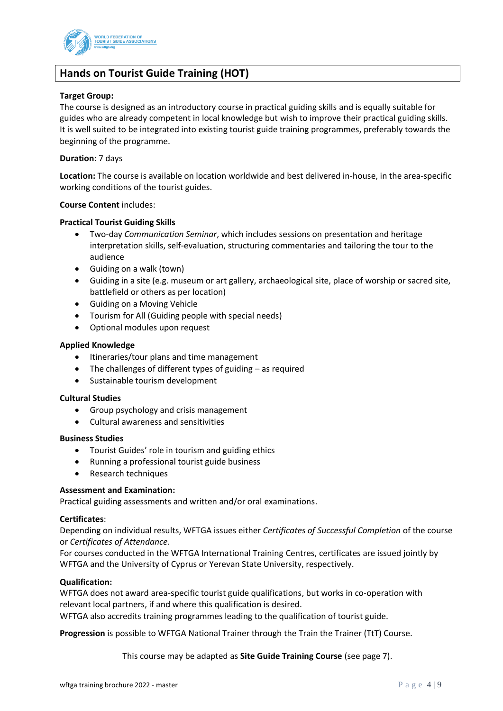

# **Hands on Tourist Guide Training (HOT)**

#### **Target Group:**

The course is designed as an introductory course in practical guiding skills and is equally suitable for guides who are already competent in local knowledge but wish to improve their practical guiding skills. It is well suited to be integrated into existing tourist guide training programmes, preferably towards the beginning of the programme.

#### **Duration**: 7 days

**Location:** The course is available on location worldwide and best delivered in-house, in the area-specific working conditions of the tourist guides.

#### **Course Content** includes:

#### **Practical Tourist Guiding Skills**

- Two-day *Communication Seminar*, which includes sessions on presentation and heritage interpretation skills, self-evaluation, structuring commentaries and tailoring the tour to the audience
- Guiding on a walk (town)
- Guiding in a site (e.g. museum or art gallery, archaeological site, place of worship or sacred site, battlefield or others as per location)
- Guiding on a Moving Vehicle
- Tourism for All (Guiding people with special needs)
- Optional modules upon request

#### **Applied Knowledge**

- Itineraries/tour plans and time management
- The challenges of different types of guiding as required
- Sustainable tourism development

#### **Cultural Studies**

- Group psychology and crisis management
- Cultural awareness and sensitivities

#### **Business Studies**

- Tourist Guides' role in tourism and guiding ethics
- Running a professional tourist guide business
- Research techniques

#### **Assessment and Examination:**

Practical guiding assessments and written and/or oral examinations.

#### **Certificates**:

Depending on individual results, WFTGA issues either *Certificates of Successful Completion* of the course or *Certificates of Attendance*.

For courses conducted in the WFTGA International Training Centres, certificates are issued jointly by WFTGA and the University of Cyprus or Yerevan State University, respectively.

#### **Qualification:**

WFTGA does not award area-specific tourist guide qualifications, but works in co-operation with relevant local partners, if and where this qualification is desired.

WFTGA also accredits training programmes leading to the qualification of tourist guide.

**Progression** is possible to WFTGA National Trainer through the Train the Trainer (TtT) Course.

This course may be adapted as **Site Guide Training Course** (see page 7).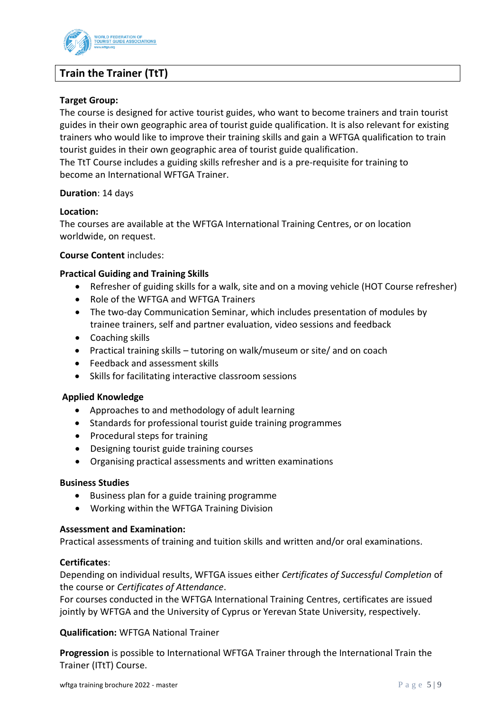

# **Train the Trainer (TtT)**

#### **Target Group:**

The course is designed for active tourist guides, who want to become trainers and train tourist guides in their own geographic area of tourist guide qualification. It is also relevant for existing trainers who would like to improve their training skills and gain a WFTGA qualification to train tourist guides in their own geographic area of tourist guide qualification.

The TtT Course includes a guiding skills refresher and is a pre-requisite for training to become an International WFTGA Trainer.

#### **Duration**: 14 days

#### **Location:**

The courses are available at the WFTGA International Training Centres, or on location worldwide, on request.

#### **Course Content** includes:

#### **Practical Guiding and Training Skills**

- Refresher of guiding skills for a walk, site and on a moving vehicle (HOT Course refresher)
- Role of the WFTGA and WFTGA Trainers
- The two-day Communication Seminar, which includes presentation of modules by trainee trainers, self and partner evaluation, video sessions and feedback
- Coaching skills
- Practical training skills tutoring on walk/museum or site/ and on coach
- Feedback and assessment skills
- Skills for facilitating interactive classroom sessions

#### **Applied Knowledge**

- Approaches to and methodology of adult learning
- Standards for professional tourist guide training programmes
- Procedural steps for training
- Designing tourist guide training courses
- Organising practical assessments and written examinations

#### **Business Studies**

- Business plan for a guide training programme
- Working within the WFTGA Training Division

#### **Assessment and Examination:**

Practical assessments of training and tuition skills and written and/or oral examinations.

#### **Certificates**:

Depending on individual results, WFTGA issues either *Certificates of Successful Completion* of the course or *Certificates of Attendance*.

For courses conducted in the WFTGA International Training Centres, certificates are issued jointly by WFTGA and the University of Cyprus or Yerevan State University, respectively.

**Qualification:** WFTGA National Trainer

**Progression** is possible to International WFTGA Trainer through the International Train the Trainer (ITtT) Course.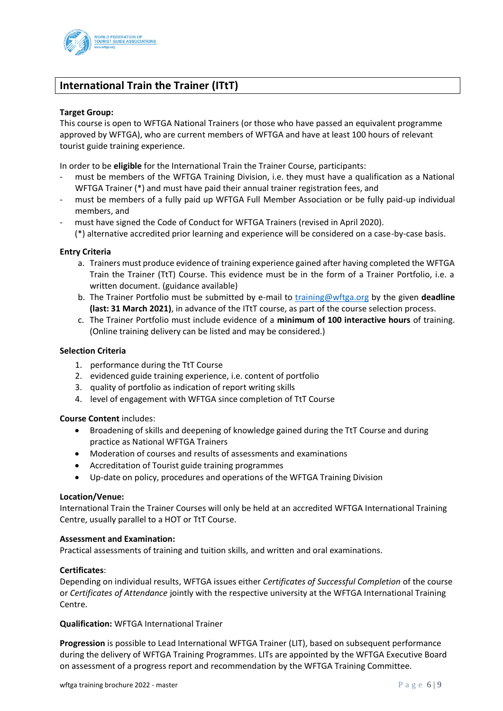

# **International Train the Trainer (ITtT)**

#### **Target Group:**

This course is open to WFTGA National Trainers (or those who have passed an equivalent programme approved by WFTGA), who are current members of WFTGA and have at least 100 hours of relevant tourist guide training experience.

In order to be **eligible** for the International Train the Trainer Course, participants:

- must be members of the WFTGA Training Division, i.e. they must have a qualification as a National WFTGA Trainer (\*) and must have paid their annual trainer registration fees, and
- must be members of a fully paid up WFTGA Full Member Association or be fully paid-up individual members, and
- must have signed the Code of Conduct for WFTGA Trainers (revised in April 2020).

(\*) alternative accredited prior learning and experience will be considered on a case-by-case basis.

#### **Entry Criteria**

- a. Trainers must produce evidence of training experience gained after having completed the WFTGA Train the Trainer (TtT) Course. This evidence must be in the form of a Trainer Portfolio, i.e. a written document. (guidance available)
- b. The Trainer Portfolio must be submitted by e-mail to [training@wftga.org](mailto:training@wftga.org) by the given **deadline (last: 31 March 2021)**, in advance of the ITtT course, as part of the course selection process.
- c. The Trainer Portfolio must include evidence of a **minimum of 100 interactive hours** of training. (Online training delivery can be listed and may be considered.)

#### **Selection Criteria**

- 1. performance during the TtT Course
- 2. evidenced guide training experience, i.e. content of portfolio
- 3. quality of portfolio as indication of report writing skills
- 4. level of engagement with WFTGA since completion of TtT Course

#### **Course Content** includes:

- Broadening of skills and deepening of knowledge gained during the TtT Course and during practice as National WFTGA Trainers
- Moderation of courses and results of assessments and examinations
- Accreditation of Tourist guide training programmes
- Up-date on policy, procedures and operations of the WFTGA Training Division

#### **Location/Venue:**

International Train the Trainer Courses will only be held at an accredited WFTGA International Training Centre, usually parallel to a HOT or TtT Course.

#### **Assessment and Examination:**

Practical assessments of training and tuition skills, and written and oral examinations.

#### **Certificates**:

Depending on individual results, WFTGA issues either *Certificates of Successful Completion* of the course or *Certificates of Attendance* jointly with the respective university at the WFTGA International Training Centre.

**Qualification:** WFTGA International Trainer

**Progression** is possible to Lead International WFTGA Trainer (LIT), based on subsequent performance during the delivery of WFTGA Training Programmes. LITs are appointed by the WFTGA Executive Board on assessment of a progress report and recommendation by the WFTGA Training Committee.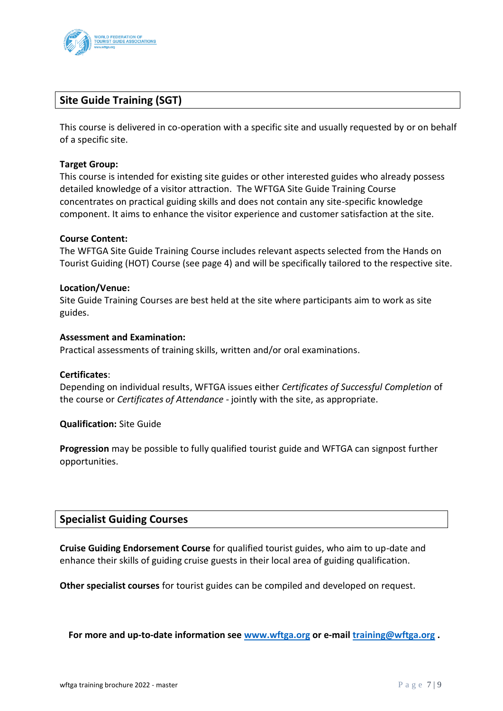

# **Site Guide Training (SGT)**

This course is delivered in co-operation with a specific site and usually requested by or on behalf of a specific site.

#### **Target Group:**

This course is intended for existing site guides or other interested guides who already possess detailed knowledge of a visitor attraction. The WFTGA Site Guide Training Course concentrates on practical guiding skills and does not contain any site-specific knowledge component. It aims to enhance the visitor experience and customer satisfaction at the site.

#### **Course Content:**

The WFTGA Site Guide Training Course includes relevant aspects selected from the Hands on Tourist Guiding (HOT) Course (see page 4) and will be specifically tailored to the respective site.

#### **Location/Venue:**

Site Guide Training Courses are best held at the site where participants aim to work as site guides.

#### **Assessment and Examination:**

Practical assessments of training skills, written and/or oral examinations.

#### **Certificates**:

Depending on individual results, WFTGA issues either *Certificates of Successful Completion* of the course or *Certificates of Attendance -* jointly with the site, as appropriate.

#### **Qualification:** Site Guide

**Progression** may be possible to fully qualified tourist guide and WFTGA can signpost further opportunities.

# **Specialist Guiding Courses**

**Cruise Guiding Endorsement Course** for qualified tourist guides, who aim to up-date and enhance their skills of guiding cruise guests in their local area of guiding qualification.

**Other specialist courses** for tourist guides can be compiled and developed on request.

**For more and up-to-date information see [www.wftga.org](http://www.wftga.org/) or e-mail [training@wftga.org](mailto:training@wftga.org) .**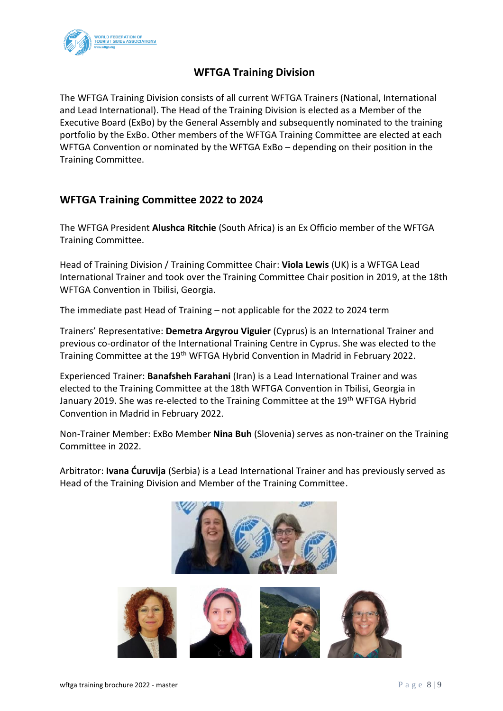

# **WFTGA Training Division**

The WFTGA Training Division consists of all current WFTGA Trainers (National, International and Lead International). The Head of the Training Division is elected as a Member of the Executive Board (ExBo) by the General Assembly and subsequently nominated to the training portfolio by the ExBo. Other members of the WFTGA Training Committee are elected at each WFTGA Convention or nominated by the WFTGA ExBo – depending on their position in the Training Committee.

# **WFTGA Training Committee 2022 to 2024**

The WFTGA President **Alushca Ritchie** (South Africa) is an Ex Officio member of the WFTGA Training Committee.

Head of Training Division / Training Committee Chair: **Viola Lewis** (UK) is a WFTGA Lead International Trainer and took over the Training Committee Chair position in 2019, at the 18th WFTGA Convention in Tbilisi, Georgia.

The immediate past Head of Training – not applicable for the 2022 to 2024 term

Trainers' Representative: **Demetra Argyrou Viguier** (Cyprus) is an International Trainer and previous co-ordinator of the International Training Centre in Cyprus. She was elected to the Training Committee at the 19<sup>th</sup> WFTGA Hybrid Convention in Madrid in February 2022.

Experienced Trainer: **Banafsheh Farahani** (Iran) is a Lead International Trainer and was elected to the Training Committee at the 18th WFTGA Convention in Tbilisi, Georgia in January 2019. She was re-elected to the Training Committee at the 19<sup>th</sup> WFTGA Hybrid Convention in Madrid in February 2022.

Non-Trainer Member: ExBo Member **Nina Buh** (Slovenia) serves as non-trainer on the Training Committee in 2022.

Arbitrator: **Ivana Ćuruvija** (Serbia) is a Lead International Trainer and has previously served as Head of the Training Division and Member of the Training Committee.